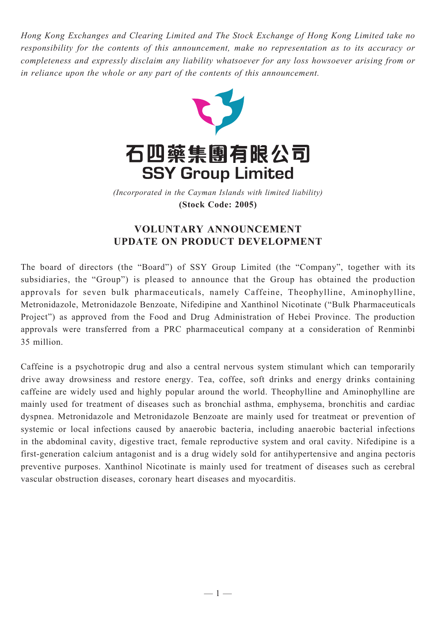*Hong Kong Exchanges and Clearing Limited and The Stock Exchange of Hong Kong Limited take no responsibility for the contents of this announcement, make no representation as to its accuracy or completeness and expressly disclaim any liability whatsoever for any loss howsoever arising from or in reliance upon the whole or any part of the contents of this announcement.*



(Incorporated in the Cayman Islands with limited liability) *(Incorporated in the Cayman Islands with limited liability)* **(Stock Code: 2005) (Stock Code: 2005)**

## **VOLUNTARY ANNOUNCEMENT UPDATE ON PRODUCT DEVELOPMENT**

The board of directors (the "Board") of SSY Group Limited (the "Company", together with its subsidiaries, the "Group") is pleased to announce that the Group has obtained the production approvals for seven bulk pharmaceuticals, namely Caffeine, Theophylline, Aminophylline, Metronidazole, Metronidazole Benzoate, Nifedipine and Xanthinol Nicotinate ("Bulk Pharmaceuticals Project") as approved from the Food and Drug Administration of Hebei Province. The production approvals were transferred from a PRC pharmaceutical company at a consideration of Renminbi 35 million.

Caffeine is a psychotropic drug and also a central nervous system stimulant which can temporarily drive away drowsiness and restore energy. Tea, coffee, soft drinks and energy drinks containing caffeine are widely used and highly popular around the world. Theophylline and Aminophylline are mainly used for treatment of diseases such as bronchial asthma, emphysema, bronchitis and cardiac dyspnea. Metronidazole and Metronidazole Benzoate are mainly used for treatmeat or prevention of systemic or local infections caused by anaerobic bacteria, including anaerobic bacterial infections in the abdominal cavity, digestive tract, female reproductive system and oral cavity. Nifedipine is a first-generation calcium antagonist and is a drug widely sold for antihypertensive and angina pectoris preventive purposes. Xanthinol Nicotinate is mainly used for treatment of diseases such as cerebral vascular obstruction diseases, coronary heart diseases and myocarditis.